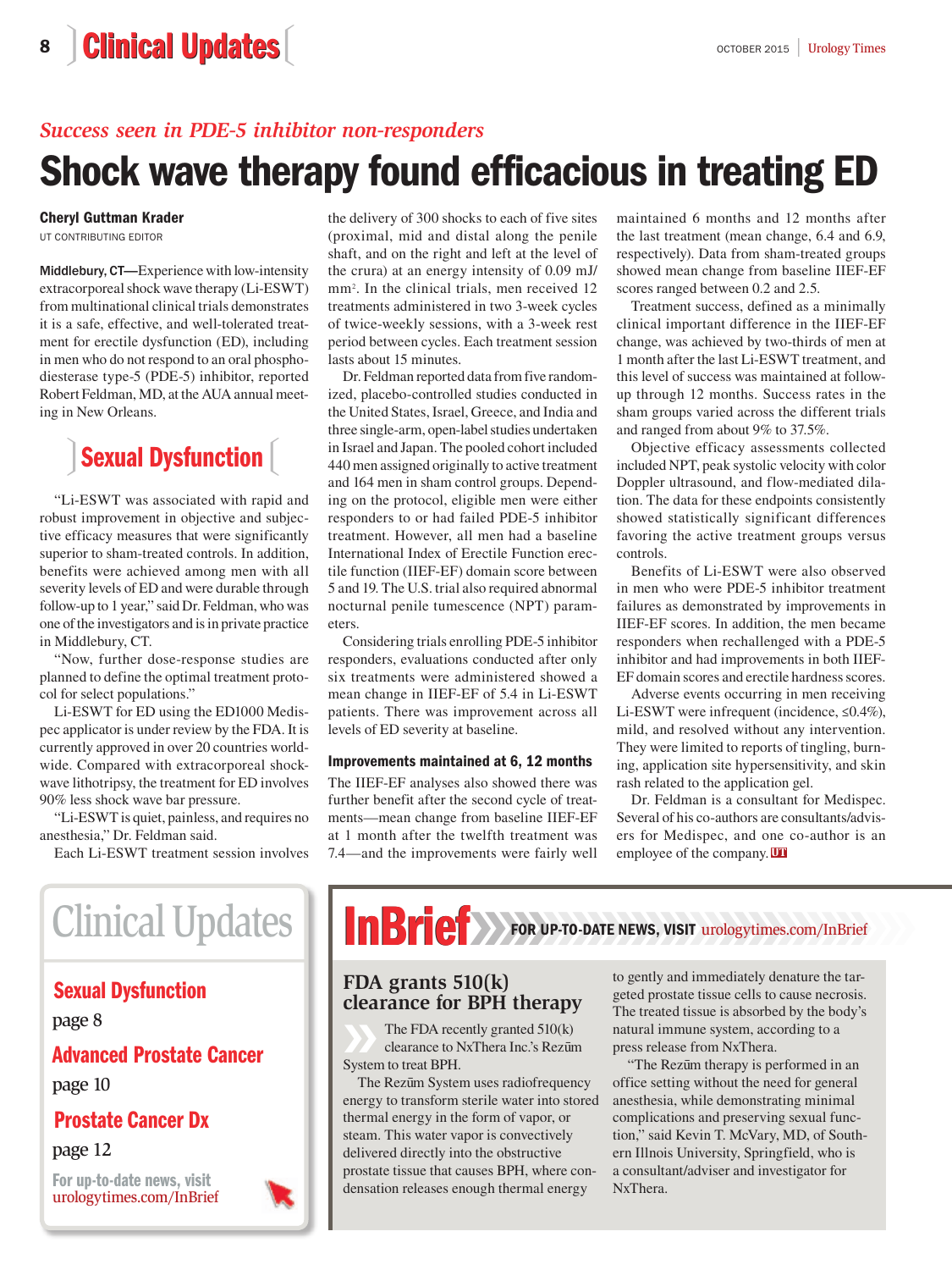### 8 Clinical Updates **a** a secret 2015 | [Urology Times](http://urologytimes.modernmedicine.com/)

### *Success seen in PDE-5 inhibitor non-responders*

## Shock wave therapy found efficacious in treating ED

#### Cheryl Guttman Krader

UT CONTRIBUTING EDITOR

Middlebury, CT—Experience with low-intensity extracorporeal shock wave therapy (Li-ESWT) from multinational clinical trials demonstrates it is a safe, effective, and well-tolerated treatment for erectile dysfunction (ED), including in men who do not respond to an oral phosphodiesterase type-5 (PDE-5) inhibitor, reported Robert Feldman, MD, at the AUA annual meeting in New Orleans.

# Sexual Dysfunction [1]

"Li-ESWT was associated with rapid and robust improvement in objective and subjective efficacy measures that were significantly superior to sham-treated controls. In addition, benefits were achieved among men with all severity levels of ED and were durable through follow-up to 1 year," said Dr. Feldman, who was one of the investigators and is in private practice in Middlebury, CT.

"Now, further dose-response studies are planned to define the optimal treatment protocol for select populations."

Li-ESWT for ED using the ED1000 Medispec applicator is under review by the FDA. It is currently approved in over 20 countries worldwide. Compared with extracorporeal shockwave lithotripsy, the treatment for ED involves 90% less shock wave bar pressure.

"Li-ESWT is quiet, painless, and requires no anesthesia," Dr. Feldman said.

Each Li-ESWT treatment session involves

the delivery of 300 shocks to each of five sites (proximal, mid and distal along the penile shaft, and on the right and left at the level of the crura) at an energy intensity of 0.09 mJ/ mm<sup>2</sup> . In the clinical trials, men received 12 treatments administered in two 3-week cycles of twice-weekly sessions, with a 3-week rest period between cycles. Each treatment session lasts about 15 minutes.

Dr. Feldman reported data from five randomized, placebo-controlled studies conducted in the United States, Israel, Greece, and India and three single-arm, open-label studies undertaken in Israel and Japan. The pooled cohort included 440 men assigned originally to active treatment and 164 men in sham control groups. Depending on the protocol, eligible men were either responders to or had failed PDE-5 inhibitor treatment. However, all men had a baseline International Index of Erectile Function erectile function (IIEF-EF) domain score between 5 and 19. The U.S. trial also required abnormal nocturnal penile tumescence (NPT) parameters.

Considering trials enrolling PDE-5 inhibitor responders, evaluations conducted after only six treatments were administered showed a mean change in IIEF-EF of 5.4 in Li-ESWT patients. There was improvement across all levels of ED severity at baseline.

#### Improvements maintained at 6, 12 months

The IIEF-EF analyses also showed there was further benefit after the second cycle of treatments—mean change from baseline IIEF-EF at 1 month after the twelfth treatment was 7.4—and the improvements were fairly well maintained 6 months and 12 months after the last treatment (mean change, 6.4 and 6.9, respectively). Data from sham-treated groups showed mean change from baseline IIEF-EF scores ranged between 0.2 and 2.5.

Treatment success, defined as a minimally clinical important difference in the IIEF-EF change, was achieved by two-thirds of men at 1 month after the last Li-ESWT treatment, and this level of success was maintained at followup through 12 months. Success rates in the sham groups varied across the different trials and ranged from about 9% to 37.5%.

Objective efficacy assessments collected included NPT, peak systolic velocity with color Doppler ultrasound, and flow-mediated dilation. The data for these endpoints consistently showed statistically significant differences favoring the active treatment groups versus controls.

Benefits of Li-ESWT were also observed in men who were PDE-5 inhibitor treatment failures as demonstrated by improvements in IIEF-EF scores. In addition, the men became responders when rechallenged with a PDE-5 inhibitor and had improvements in both IIEF-EF domain scores and erectile hardness scores.

Adverse events occurring in men receiving Li-ESWT were infrequent (incidence, ≤0.4%), mild, and resolved without any intervention. They were limited to reports of tingling, burning, application site hypersensitivity, and skin rash related to the application gel.

Dr. Feldman is a consultant for Medispec. Several of his co-authors are consultants/advisers for Medispec, and one co-author is an employee of the company. UT

# Clinical Updates

### Sexual Dysfunction

page 8

#### Advanced Prostate Cancer

page 10

### Prostate Cancer Dx

page 12

[For up-to-date news, visit](https://urologytimes.com/InBrief) urologytimes.com/InBrief



# **INBRICH** FOR UP-TO-DATE NEWS, VISIT urologytimes.com/InBrief

### **FDA grants 510(k) clearance for BPH therapy**

The FDA recently granted 510(k) clearance to NxThera Inc.'s Rezum System to treat BPH.

The Rezum System uses radiofrequency energy to transform sterile water into stored thermal energy in the form of vapor, or steam. This water vapor is convectively delivered directly into the obstructive prostate tissue that causes BPH, where condensation releases enough thermal energy

to gently and immediately denature the targeted prostate tissue cells to cause necrosis. The treated tissue is absorbed by the body's natural immune system, according to a press release from NxThera.

"The Rezum therapy is performed in an office setting without the need for general anesthesia, while demonstrating minimal complications and preserving sexual function," said Kevin T. McVary, MD, of Southern Illnois University, Springfield, who is a consultant/adviser and investigator for NxThera.